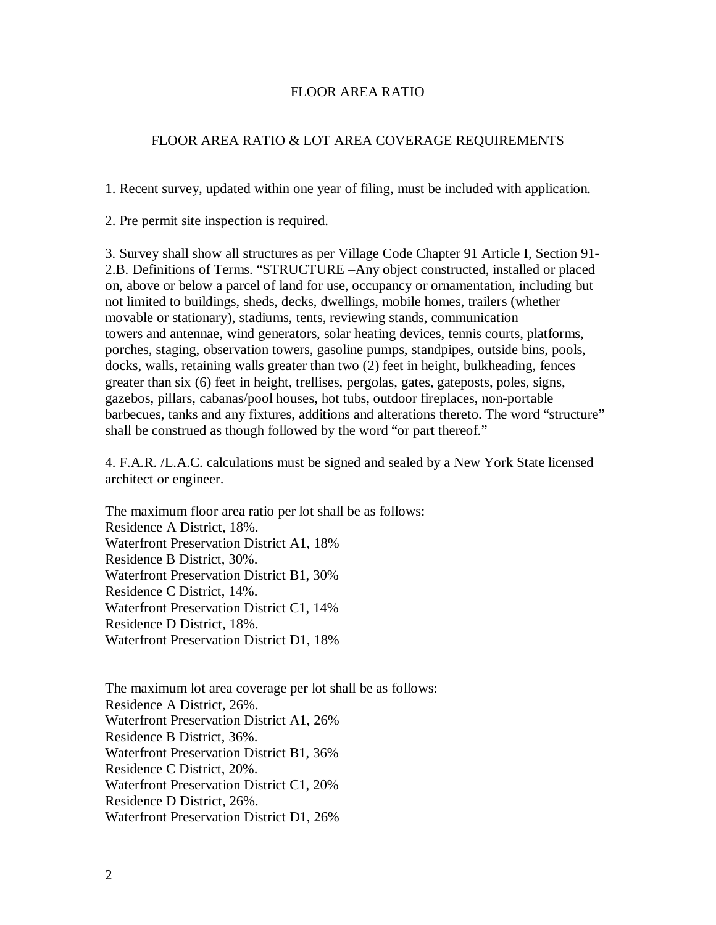## FLOOR AREA RATIO

## FLOOR AREA RATIO & LOT AREA COVERAGE REQUIREMENTS

1. Recent survey, updated within one year of filing, must be included with application.

2. Pre permit site inspection is required.

3. Survey shall show all structures as per Village Code Chapter 91 Article I, Section 91- 2.B. Definitions of Terms. "STRUCTURE –Any object constructed, installed or placed on, above or below a parcel of land for use, occupancy or ornamentation, including but not limited to buildings, sheds, decks, dwellings, mobile homes, trailers (whether movable or stationary), stadiums, tents, reviewing stands, communication towers and antennae, wind generators, solar heating devices, tennis courts, platforms, porches, staging, observation towers, gasoline pumps, standpipes, outside bins, pools, docks, walls, retaining walls greater than two (2) feet in height, bulkheading, fences greater than six (6) feet in height, trellises, pergolas, gates, gateposts, poles, signs, gazebos, pillars, cabanas/pool houses, hot tubs, outdoor fireplaces, non-portable barbecues, tanks and any fixtures, additions and alterations thereto. The word "structure" shall be construed as though followed by the word "or part thereof."

4. F.A.R. /L.A.C. calculations must be signed and sealed by a New York State licensed architect or engineer.

The maximum floor area ratio per lot shall be as follows: Residence A District, 18%. Waterfront Preservation District A1, 18% Residence B District, 30%. Waterfront Preservation District B1, 30% Residence C District, 14%. Waterfront Preservation District C1, 14% Residence D District, 18%. Waterfront Preservation District D1, 18%

The maximum lot area coverage per lot shall be as follows: Residence A District, 26%. Waterfront Preservation District A1, 26% Residence B District, 36%. Waterfront Preservation District B1, 36% Residence C District, 20%. Waterfront Preservation District C1, 20% Residence D District, 26%. Waterfront Preservation District D1, 26%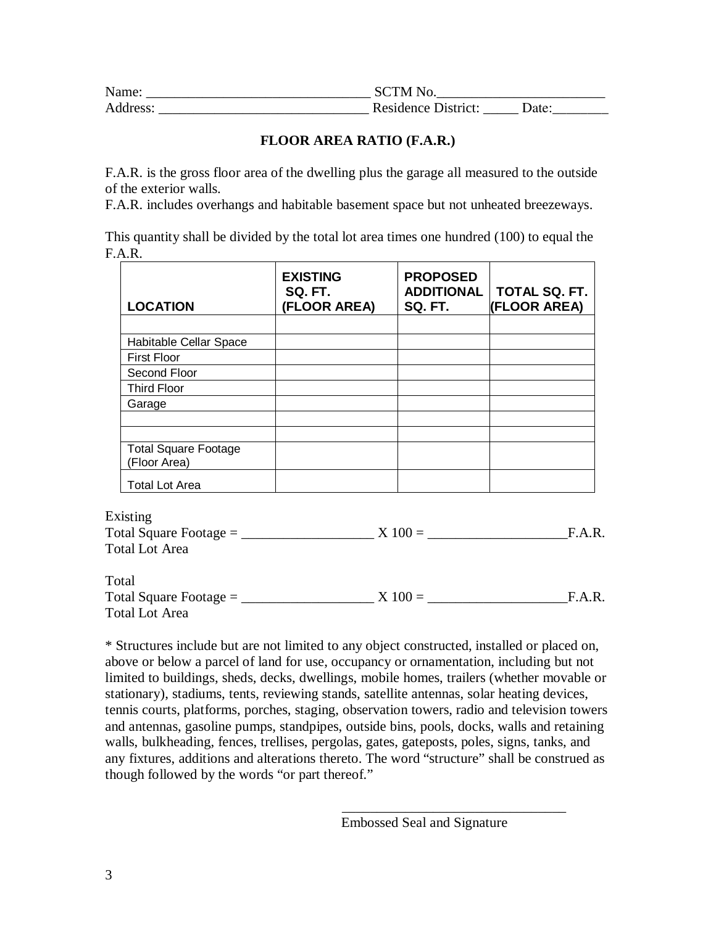| Name:    | <b>SCTM No.</b>     |       |
|----------|---------------------|-------|
| Address: | Residence District: | Date: |

## **FLOOR AREA RATIO (F.A.R.)**

F.A.R. is the gross floor area of the dwelling plus the garage all measured to the outside of the exterior walls.

F.A.R. includes overhangs and habitable basement space but not unheated breezeways.

This quantity shall be divided by the total lot area times one hundred (100) to equal the F.A.R.

| <b>LOCATION</b>             | <b>EXISTING</b><br>SQ. FT.<br>(FLOOR AREA) | <b>PROPOSED</b><br><b>ADDITIONAL</b><br><b>SQ. FT.</b> | TOTAL SQ. FT.<br><b>(FLOOR AREA)</b> |
|-----------------------------|--------------------------------------------|--------------------------------------------------------|--------------------------------------|
|                             |                                            |                                                        |                                      |
| Habitable Cellar Space      |                                            |                                                        |                                      |
| <b>First Floor</b>          |                                            |                                                        |                                      |
| Second Floor                |                                            |                                                        |                                      |
| <b>Third Floor</b>          |                                            |                                                        |                                      |
| Garage                      |                                            |                                                        |                                      |
|                             |                                            |                                                        |                                      |
|                             |                                            |                                                        |                                      |
| <b>Total Square Footage</b> |                                            |                                                        |                                      |
| (Floor Area)                |                                            |                                                        |                                      |
| <b>Total Lot Area</b>       |                                            |                                                        |                                      |

Existing

| LAISUILE                 |           |        |
|--------------------------|-----------|--------|
| Total Square Footage $=$ | $X 100 =$ | F.A.R. |
| Total Lot Area           |           |        |
|                          |           |        |

Total Total Square Footage =  $\angle X 100 =$  F.A.R. Total Lot Area

\* Structures include but are not limited to any object constructed, installed or placed on, above or below a parcel of land for use, occupancy or ornamentation, including but not limited to buildings, sheds, decks, dwellings, mobile homes, trailers (whether movable or stationary), stadiums, tents, reviewing stands, satellite antennas, solar heating devices, tennis courts, platforms, porches, staging, observation towers, radio and television towers and antennas, gasoline pumps, standpipes, outside bins, pools, docks, walls and retaining walls, bulkheading, fences, trellises, pergolas, gates, gateposts, poles, signs, tanks, and any fixtures, additions and alterations thereto. The word "structure" shall be construed as though followed by the words "or part thereof."

\_\_\_\_\_\_\_\_\_\_\_\_\_\_\_\_\_\_\_\_\_\_\_\_\_\_\_\_\_\_\_\_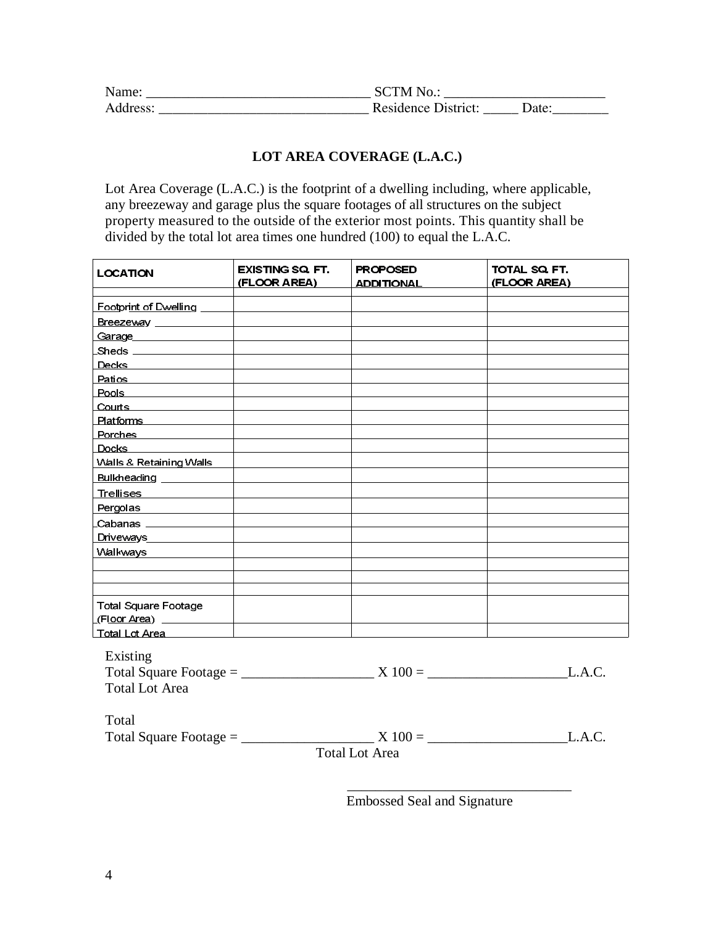| Name:    | <b>SCTM No.:</b>    |       |
|----------|---------------------|-------|
| Address: | Residence District: | Date: |

## **LOT AREA COVERAGE (L.A.C.)**

Lot Area Coverage (L.A.C.) is the footprint of a dwelling including, where applicable, any breezeway and garage plus the square footages of all structures on the subject property measured to the outside of the exterior most points. This quantity shall be divided by the total lot area times one hundred (100) to equal the L.A.C.

| LOCATION                                                                                                                                                                                                                        | <b>EXISTING SQ. FT.</b><br>(FLOOR AREA) | <b>PROPOSED</b><br>ADDITIONAL | TOTAL SQ. FT.<br>(FLOOR AREA) |
|---------------------------------------------------------------------------------------------------------------------------------------------------------------------------------------------------------------------------------|-----------------------------------------|-------------------------------|-------------------------------|
|                                                                                                                                                                                                                                 |                                         |                               |                               |
| Breezeway ______________                                                                                                                                                                                                        |                                         |                               |                               |
| Garage and the control of the control of the control of the control of the control of the control of the control of the control of the control of the control of the control of the control of the control of the control of th |                                         |                               |                               |
| Sheds _______________                                                                                                                                                                                                           |                                         |                               |                               |
|                                                                                                                                                                                                                                 |                                         |                               |                               |
| Pa <u>tios ______________</u> ___                                                                                                                                                                                               |                                         |                               |                               |
| Pools __________________                                                                                                                                                                                                        |                                         |                               |                               |
| <u>Courts ________________</u>                                                                                                                                                                                                  |                                         |                               |                               |
| Platforms _____________                                                                                                                                                                                                         |                                         |                               |                               |
| Porches <b>Exercises</b>                                                                                                                                                                                                        |                                         |                               |                               |
| Docks in the control of the control of the control of the control of the control of the control of the control of the control of the control of the control of the control of the control of the control of the control of the  |                                         |                               |                               |
| Walls & Retaining Walls                                                                                                                                                                                                         |                                         |                               |                               |
|                                                                                                                                                                                                                                 |                                         |                               |                               |
| Trellises <b>Andrew Marshall</b>                                                                                                                                                                                                |                                         |                               |                               |
| Pergolas                                                                                                                                                                                                                        |                                         |                               |                               |
| Cabanas <b>Cabanas</b>                                                                                                                                                                                                          |                                         |                               |                               |
| <b>Driveways</b>                                                                                                                                                                                                                |                                         |                               |                               |
| Walkways                                                                                                                                                                                                                        |                                         |                               |                               |
|                                                                                                                                                                                                                                 |                                         |                               |                               |
| <b>Total Square Footage</b>                                                                                                                                                                                                     |                                         |                               |                               |
| LTotal Lot Area ___________                                                                                                                                                                                                     |                                         |                               |                               |
| Existing<br><b>Total Lot Area</b>                                                                                                                                                                                               |                                         |                               | L.A.C.                        |
| Total                                                                                                                                                                                                                           |                                         |                               | L.A.C.                        |
|                                                                                                                                                                                                                                 |                                         |                               |                               |
|                                                                                                                                                                                                                                 |                                         | <b>Total Lot Area</b>         |                               |

Embossed Seal and Signature

 $\frac{1}{2}$  , and the set of the set of the set of the set of the set of the set of the set of the set of the set of the set of the set of the set of the set of the set of the set of the set of the set of the set of the set